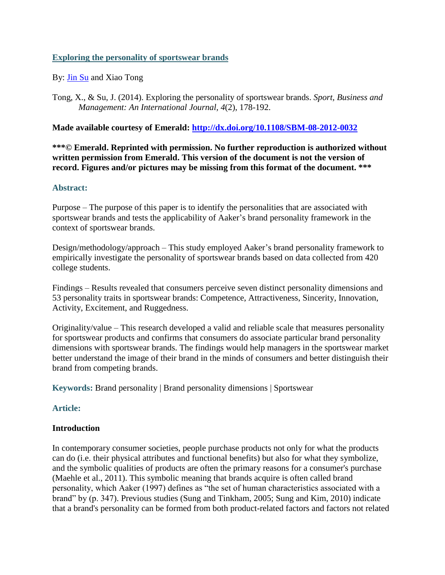# **Exploring the personality of sportswear brands**

### By: [Jin Su](http://libres.uncg.edu/ir/uncg/clist.aspx?id=13707) and Xiao Tong

Tong, X., & Su, J. (2014). Exploring the personality of sportswear brands. *Sport, Business and Management: An International Journal, 4*(2), 178-192.

### **Made available courtesy of Emerald:<http://dx.doi.org/10.1108/SBM-08-2012-0032>**

**\*\*\*© Emerald. Reprinted with permission. No further reproduction is authorized without written permission from Emerald. This version of the document is not the version of record. Figures and/or pictures may be missing from this format of the document. \*\*\***

### **Abstract:**

Purpose – The purpose of this paper is to identify the personalities that are associated with sportswear brands and tests the applicability of Aaker's brand personality framework in the context of sportswear brands.

Design/methodology/approach – This study employed Aaker's brand personality framework to empirically investigate the personality of sportswear brands based on data collected from 420 college students.

Findings – Results revealed that consumers perceive seven distinct personality dimensions and 53 personality traits in sportswear brands: Competence, Attractiveness, Sincerity, Innovation, Activity, Excitement, and Ruggedness.

Originality/value – This research developed a valid and reliable scale that measures personality for sportswear products and confirms that consumers do associate particular brand personality dimensions with sportswear brands. The findings would help managers in the sportswear market better understand the image of their brand in the minds of consumers and better distinguish their brand from competing brands.

**Keywords:** Brand personality | Brand personality dimensions | Sportswear

### **Article:**

### **Introduction**

In contemporary consumer societies, people purchase products not only for what the products can do (i.e. their physical attributes and functional benefits) but also for what they symbolize, and the symbolic qualities of products are often the primary reasons for a consumer's purchase (Maehle et al., 2011). This symbolic meaning that brands acquire is often called brand personality, which Aaker (1997) defines as "the set of human characteristics associated with a brand" by (p. 347). Previous studies (Sung and Tinkham, 2005; Sung and Kim, 2010) indicate that a brand's personality can be formed from both product-related factors and factors not related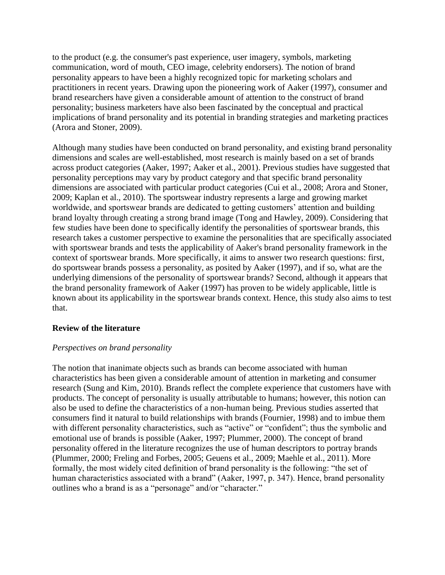to the product (e.g. the consumer's past experience, user imagery, symbols, marketing communication, word of mouth, CEO image, celebrity endorsers). The notion of brand personality appears to have been a highly recognized topic for marketing scholars and practitioners in recent years. Drawing upon the pioneering work of Aaker (1997), consumer and brand researchers have given a considerable amount of attention to the construct of brand personality; business marketers have also been fascinated by the conceptual and practical implications of brand personality and its potential in branding strategies and marketing practices (Arora and Stoner, 2009).

Although many studies have been conducted on brand personality, and existing brand personality dimensions and scales are well-established, most research is mainly based on a set of brands across product categories (Aaker, 1997; Aaker et al., 2001). Previous studies have suggested that personality perceptions may vary by product category and that specific brand personality dimensions are associated with particular product categories (Cui et al., 2008; Arora and Stoner, 2009; Kaplan et al., 2010). The sportswear industry represents a large and growing market worldwide, and sportswear brands are dedicated to getting customers' attention and building brand loyalty through creating a strong brand image (Tong and Hawley, 2009). Considering that few studies have been done to specifically identify the personalities of sportswear brands, this research takes a customer perspective to examine the personalities that are specifically associated with sportswear brands and tests the applicability of Aaker's brand personality framework in the context of sportswear brands. More specifically, it aims to answer two research questions: first, do sportswear brands possess a personality, as posited by Aaker (1997), and if so, what are the underlying dimensions of the personality of sportswear brands? Second, although it appears that the brand personality framework of Aaker (1997) has proven to be widely applicable, little is known about its applicability in the sportswear brands context. Hence, this study also aims to test that.

# **Review of the literature**

# *Perspectives on brand personality*

The notion that inanimate objects such as brands can become associated with human characteristics has been given a considerable amount of attention in marketing and consumer research (Sung and Kim, 2010). Brands reflect the complete experience that customers have with products. The concept of personality is usually attributable to humans; however, this notion can also be used to define the characteristics of a non-human being. Previous studies asserted that consumers find it natural to build relationships with brands (Fournier, 1998) and to imbue them with different personality characteristics, such as "active" or "confident"; thus the symbolic and emotional use of brands is possible (Aaker, 1997; Plummer, 2000). The concept of brand personality offered in the literature recognizes the use of human descriptors to portray brands (Plummer, 2000; Freling and Forbes, 2005; Geuens et al., 2009; Maehle et al., 2011). More formally, the most widely cited definition of brand personality is the following: "the set of human characteristics associated with a brand" (Aaker, 1997, p. 347). Hence, brand personality outlines who a brand is as a "personage" and/or "character."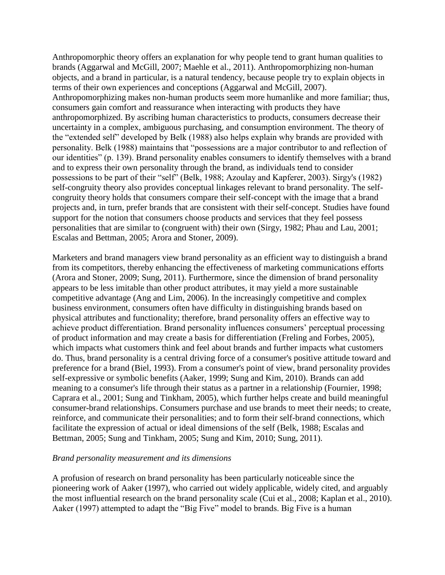Anthropomorphic theory offers an explanation for why people tend to grant human qualities to brands (Aggarwal and McGill, 2007; Maehle et al., 2011). Anthropomorphizing non-human objects, and a brand in particular, is a natural tendency, because people try to explain objects in terms of their own experiences and conceptions (Aggarwal and McGill, 2007). Anthropomorphizing makes non-human products seem more humanlike and more familiar; thus, consumers gain comfort and reassurance when interacting with products they have anthropomorphized. By ascribing human characteristics to products, consumers decrease their uncertainty in a complex, ambiguous purchasing, and consumption environment. The theory of the "extended self" developed by Belk (1988) also helps explain why brands are provided with personality. Belk (1988) maintains that "possessions are a major contributor to and reflection of our identities" (p. 139). Brand personality enables consumers to identify themselves with a brand and to express their own personality through the brand, as individuals tend to consider possessions to be part of their "self" (Belk, 1988; Azoulay and Kapferer, 2003). Sirgy's (1982) self-congruity theory also provides conceptual linkages relevant to brand personality. The selfcongruity theory holds that consumers compare their self-concept with the image that a brand projects and, in turn, prefer brands that are consistent with their self-concept. Studies have found support for the notion that consumers choose products and services that they feel possess personalities that are similar to (congruent with) their own (Sirgy, 1982; Phau and Lau, 2001; Escalas and Bettman, 2005; Arora and Stoner, 2009).

Marketers and brand managers view brand personality as an efficient way to distinguish a brand from its competitors, thereby enhancing the effectiveness of marketing communications efforts (Arora and Stoner, 2009; Sung, 2011). Furthermore, since the dimension of brand personality appears to be less imitable than other product attributes, it may yield a more sustainable competitive advantage (Ang and Lim, 2006). In the increasingly competitive and complex business environment, consumers often have difficulty in distinguishing brands based on physical attributes and functionality; therefore, brand personality offers an effective way to achieve product differentiation. Brand personality influences consumers' perceptual processing of product information and may create a basis for differentiation (Freling and Forbes, 2005), which impacts what customers think and feel about brands and further impacts what customers do. Thus, brand personality is a central driving force of a consumer's positive attitude toward and preference for a brand (Biel, 1993). From a consumer's point of view, brand personality provides self-expressive or symbolic benefits (Aaker, 1999; Sung and Kim, 2010). Brands can add meaning to a consumer's life through their status as a partner in a relationship (Fournier, 1998; Caprara et al., 2001; Sung and Tinkham, 2005), which further helps create and build meaningful consumer-brand relationships. Consumers purchase and use brands to meet their needs; to create, reinforce, and communicate their personalities; and to form their self-brand connections, which facilitate the expression of actual or ideal dimensions of the self (Belk, 1988; Escalas and Bettman, 2005; Sung and Tinkham, 2005; Sung and Kim, 2010; Sung, 2011).

#### *Brand personality measurement and its dimensions*

A profusion of research on brand personality has been particularly noticeable since the pioneering work of Aaker (1997), who carried out widely applicable, widely cited, and arguably the most influential research on the brand personality scale (Cui et al., 2008; Kaplan et al., 2010). Aaker (1997) attempted to adapt the "Big Five" model to brands. Big Five is a human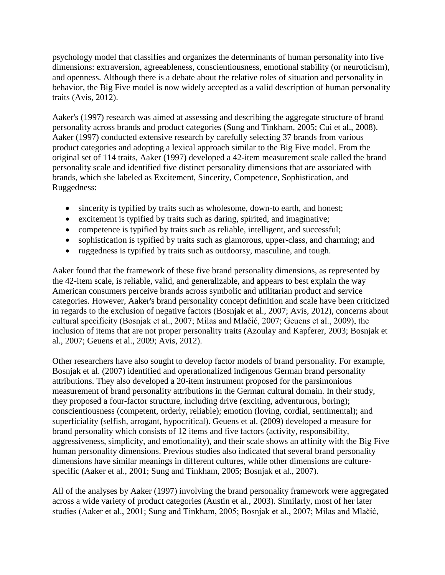psychology model that classifies and organizes the determinants of human personality into five dimensions: extraversion, agreeableness, conscientiousness, emotional stability (or neuroticism), and openness. Although there is a debate about the relative roles of situation and personality in behavior, the Big Five model is now widely accepted as a valid description of human personality traits (Avis, 2012).

Aaker's (1997) research was aimed at assessing and describing the aggregate structure of brand personality across brands and product categories (Sung and Tinkham, 2005; Cui et al., 2008). Aaker (1997) conducted extensive research by carefully selecting 37 brands from various product categories and adopting a lexical approach similar to the Big Five model. From the original set of 114 traits, Aaker (1997) developed a 42-item measurement scale called the brand personality scale and identified five distinct personality dimensions that are associated with brands, which she labeled as Excitement, Sincerity, Competence, Sophistication, and Ruggedness:

- sincerity is typified by traits such as wholesome, down-to earth, and honest;
- excitement is typified by traits such as daring, spirited, and imaginative;
- competence is typified by traits such as reliable, intelligent, and successful;
- sophistication is typified by traits such as glamorous, upper-class, and charming; and
- ruggedness is typified by traits such as outdoorsy, masculine, and tough.

Aaker found that the framework of these five brand personality dimensions, as represented by the 42-item scale, is reliable, valid, and generalizable, and appears to best explain the way American consumers perceive brands across symbolic and utilitarian product and service categories. However, Aaker's brand personality concept definition and scale have been criticized in regards to the exclusion of negative factors (Bosnjak et al., 2007; Avis, 2012), concerns about cultural specificity (Bosnjak et al., 2007; Milas and Mlačić, 2007; Geuens et al., 2009), the inclusion of items that are not proper personality traits (Azoulay and Kapferer, 2003; Bosnjak et al., 2007; Geuens et al., 2009; Avis, 2012).

Other researchers have also sought to develop factor models of brand personality. For example, Bosnjak et al. (2007) identified and operationalized indigenous German brand personality attributions. They also developed a 20-item instrument proposed for the parsimonious measurement of brand personality attributions in the German cultural domain. In their study, they proposed a four-factor structure, including drive (exciting, adventurous, boring); conscientiousness (competent, orderly, reliable); emotion (loving, cordial, sentimental); and superficiality (selfish, arrogant, hypocritical). Geuens et al. (2009) developed a measure for brand personality which consists of 12 items and five factors (activity, responsibility, aggressiveness, simplicity, and emotionality), and their scale shows an affinity with the Big Five human personality dimensions. Previous studies also indicated that several brand personality dimensions have similar meanings in different cultures, while other dimensions are culturespecific (Aaker et al., 2001; Sung and Tinkham, 2005; Bosnjak et al., 2007).

All of the analyses by Aaker (1997) involving the brand personality framework were aggregated across a wide variety of product categories (Austin et al., 2003). Similarly, most of her later studies (Aaker et al., 2001; Sung and Tinkham, 2005; Bosnjak et al., 2007; Milas and Mlačić,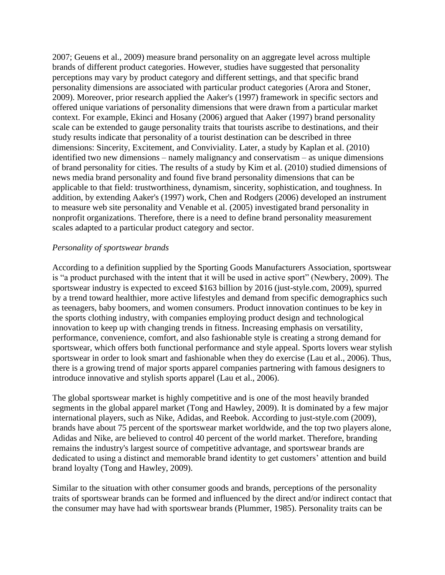2007; Geuens et al., 2009) measure brand personality on an aggregate level across multiple brands of different product categories. However, studies have suggested that personality perceptions may vary by product category and different settings, and that specific brand personality dimensions are associated with particular product categories (Arora and Stoner, 2009). Moreover, prior research applied the Aaker's (1997) framework in specific sectors and offered unique variations of personality dimensions that were drawn from a particular market context. For example, Ekinci and Hosany (2006) argued that Aaker (1997) brand personality scale can be extended to gauge personality traits that tourists ascribe to destinations, and their study results indicate that personality of a tourist destination can be described in three dimensions: Sincerity, Excitement, and Conviviality. Later, a study by Kaplan et al. (2010) identified two new dimensions – namely malignancy and conservatism – as unique dimensions of brand personality for cities. The results of a study by Kim et al. (2010) studied dimensions of news media brand personality and found five brand personality dimensions that can be applicable to that field: trustworthiness, dynamism, sincerity, sophistication, and toughness. In addition, by extending Aaker's (1997) work, Chen and Rodgers (2006) developed an instrument to measure web site personality and Venable et al. (2005) investigated brand personality in nonprofit organizations. Therefore, there is a need to define brand personality measurement scales adapted to a particular product category and sector.

### *Personality of sportswear brands*

According to a definition supplied by the Sporting Goods Manufacturers Association, sportswear is "a product purchased with the intent that it will be used in active sport" (Newbery, 2009). The sportswear industry is expected to exceed \$163 billion by 2016 (just-style.com, 2009), spurred by a trend toward healthier, more active lifestyles and demand from specific demographics such as teenagers, baby boomers, and women consumers. Product innovation continues to be key in the sports clothing industry, with companies employing product design and technological innovation to keep up with changing trends in fitness. Increasing emphasis on versatility, performance, convenience, comfort, and also fashionable style is creating a strong demand for sportswear, which offers both functional performance and style appeal. Sports lovers wear stylish sportswear in order to look smart and fashionable when they do exercise (Lau et al., 2006). Thus, there is a growing trend of major sports apparel companies partnering with famous designers to introduce innovative and stylish sports apparel (Lau et al., 2006).

The global sportswear market is highly competitive and is one of the most heavily branded segments in the global apparel market (Tong and Hawley, 2009). It is dominated by a few major international players, such as Nike, Adidas, and Reebok. According to just-style.com (2009), brands have about 75 percent of the sportswear market worldwide, and the top two players alone, Adidas and Nike, are believed to control 40 percent of the world market. Therefore, branding remains the industry's largest source of competitive advantage, and sportswear brands are dedicated to using a distinct and memorable brand identity to get customers' attention and build brand loyalty (Tong and Hawley, 2009).

Similar to the situation with other consumer goods and brands, perceptions of the personality traits of sportswear brands can be formed and influenced by the direct and/or indirect contact that the consumer may have had with sportswear brands (Plummer, 1985). Personality traits can be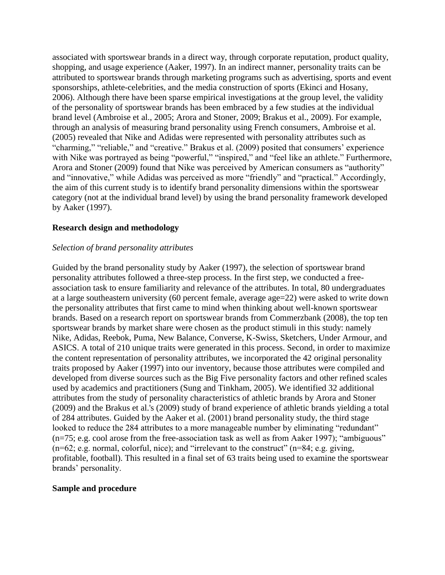associated with sportswear brands in a direct way, through corporate reputation, product quality, shopping, and usage experience (Aaker, 1997). In an indirect manner, personality traits can be attributed to sportswear brands through marketing programs such as advertising, sports and event sponsorships, athlete-celebrities, and the media construction of sports (Ekinci and Hosany, 2006). Although there have been sparse empirical investigations at the group level, the validity of the personality of sportswear brands has been embraced by a few studies at the individual brand level (Ambroise et al., 2005; Arora and Stoner, 2009; Brakus et al., 2009). For example, through an analysis of measuring brand personality using French consumers, Ambroise et al. (2005) revealed that Nike and Adidas were represented with personality attributes such as "charming," "reliable," and "creative." Brakus et al. (2009) posited that consumers' experience with Nike was portrayed as being "powerful," "inspired," and "feel like an athlete." Furthermore, Arora and Stoner (2009) found that Nike was perceived by American consumers as "authority" and "innovative," while Adidas was perceived as more "friendly" and "practical." Accordingly, the aim of this current study is to identify brand personality dimensions within the sportswear category (not at the individual brand level) by using the brand personality framework developed by Aaker (1997).

### **Research design and methodology**

#### *Selection of brand personality attributes*

Guided by the brand personality study by Aaker (1997), the selection of sportswear brand personality attributes followed a three-step process. In the first step, we conducted a freeassociation task to ensure familiarity and relevance of the attributes. In total, 80 undergraduates at a large southeastern university (60 percent female, average age=22) were asked to write down the personality attributes that first came to mind when thinking about well-known sportswear brands. Based on a research report on sportswear brands from Commerzbank (2008), the top ten sportswear brands by market share were chosen as the product stimuli in this study: namely Nike, Adidas, Reebok, Puma, New Balance, Converse, K-Swiss, Sketchers, Under Armour, and ASICS. A total of 210 unique traits were generated in this process. Second, in order to maximize the content representation of personality attributes, we incorporated the 42 original personality traits proposed by Aaker (1997) into our inventory, because those attributes were compiled and developed from diverse sources such as the Big Five personality factors and other refined scales used by academics and practitioners (Sung and Tinkham, 2005). We identified 32 additional attributes from the study of personality characteristics of athletic brands by Arora and Stoner (2009) and the Brakus et al.'s (2009) study of brand experience of athletic brands yielding a total of 284 attributes. Guided by the Aaker et al. (2001) brand personality study, the third stage looked to reduce the 284 attributes to a more manageable number by eliminating "redundant" (n=75; e.g. cool arose from the free-association task as well as from Aaker 1997); "ambiguous"  $(n=62; e.g. normal, colorful, nice);$  and "irrelevant to the construct"  $(n=84; e.g. giving,$ profitable, football). This resulted in a final set of 63 traits being used to examine the sportswear brands' personality.

#### **Sample and procedure**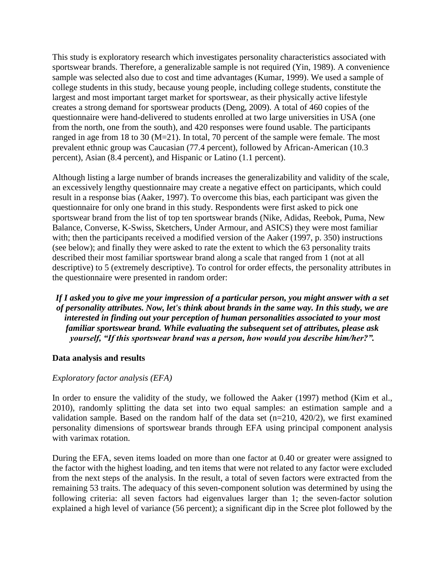This study is exploratory research which investigates personality characteristics associated with sportswear brands. Therefore, a generalizable sample is not required (Yin, 1989). A convenience sample was selected also due to cost and time advantages (Kumar, 1999). We used a sample of college students in this study, because young people, including college students, constitute the largest and most important target market for sportswear, as their physically active lifestyle creates a strong demand for sportswear products (Deng, 2009). A total of 460 copies of the questionnaire were hand-delivered to students enrolled at two large universities in USA (one from the north, one from the south), and 420 responses were found usable. The participants ranged in age from 18 to 30 (M=21). In total, 70 percent of the sample were female. The most prevalent ethnic group was Caucasian (77.4 percent), followed by African-American (10.3 percent), Asian (8.4 percent), and Hispanic or Latino (1.1 percent).

Although listing a large number of brands increases the generalizability and validity of the scale, an excessively lengthy questionnaire may create a negative effect on participants, which could result in a response bias (Aaker, 1997). To overcome this bias, each participant was given the questionnaire for only one brand in this study. Respondents were first asked to pick one sportswear brand from the list of top ten sportswear brands (Nike, Adidas, Reebok, Puma, New Balance, Converse, K-Swiss, Sketchers, Under Armour, and ASICS) they were most familiar with; then the participants received a modified version of the Aaker (1997, p. 350) instructions (see below); and finally they were asked to rate the extent to which the 63 personality traits described their most familiar sportswear brand along a scale that ranged from 1 (not at all descriptive) to 5 (extremely descriptive). To control for order effects, the personality attributes in the questionnaire were presented in random order:

*If I asked you to give me your impression of a particular person, you might answer with a set of personality attributes. Now, let's think about brands in the same way. In this study, we are interested in finding out your perception of human personalities associated to your most familiar sportswear brand. While evaluating the subsequent set of attributes, please ask yourself, "If this sportswear brand was a person, how would you describe him/her?".*

### **Data analysis and results**

### *Exploratory factor analysis (EFA)*

In order to ensure the validity of the study, we followed the Aaker (1997) method (Kim et al., 2010), randomly splitting the data set into two equal samples: an estimation sample and a validation sample. Based on the random half of the data set  $(n=210, 420/2)$ , we first examined personality dimensions of sportswear brands through EFA using principal component analysis with varimax rotation.

During the EFA, seven items loaded on more than one factor at 0.40 or greater were assigned to the factor with the highest loading, and ten items that were not related to any factor were excluded from the next steps of the analysis. In the result, a total of seven factors were extracted from the remaining 53 traits. The adequacy of this seven-component solution was determined by using the following criteria: all seven factors had eigenvalues larger than 1; the seven-factor solution explained a high level of variance (56 percent); a significant dip in the Scree plot followed by the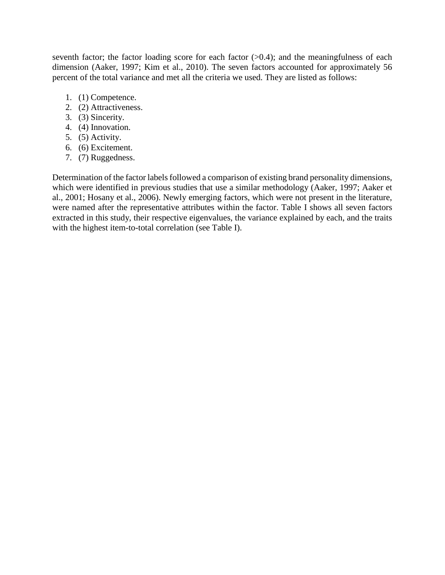seventh factor; the factor loading score for each factor  $(>0.4)$ ; and the meaningfulness of each dimension (Aaker, 1997; Kim et al., 2010). The seven factors accounted for approximately 56 percent of the total variance and met all the criteria we used. They are listed as follows:

- 1. (1) Competence.
- 2. (2) Attractiveness.
- 3. (3) Sincerity.
- 4. (4) Innovation.
- 5. (5) Activity.
- 6. (6) Excitement.
- 7. (7) Ruggedness.

Determination of the factor labels followed a comparison of existing brand personality dimensions, which were identified in previous studies that use a similar methodology (Aaker, 1997; Aaker et al., 2001; Hosany et al., 2006). Newly emerging factors, which were not present in the literature, were named after the representative attributes within the factor. Table I shows all seven factors extracted in this study, their respective eigenvalues, the variance explained by each, and the traits with the highest item-to-total correlation (see Table I).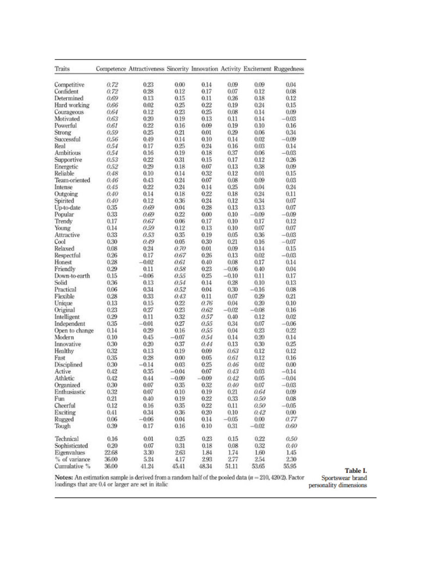| Traits         |       | Competence Attractiveness Sincerity Innovation Activity Excitement Ruggedness |         |         |         |         |         |
|----------------|-------|-------------------------------------------------------------------------------|---------|---------|---------|---------|---------|
| Competitive    | 0.72  | 0.23                                                                          | 0.00    | 0.14    | 0.09    | 0.09    | 0.04    |
| Confident      | 0.72  | 0.28                                                                          | 0.12    | 0.17    | 0.07    | 0.12    | 0.08    |
| Determined     | 0.69  | 0.13                                                                          | 0.15    | 0.11    | 0.26    | 0.18    | 0.12    |
| Hard working   | 0.66  | 0.02                                                                          | 0.25    | 0.22    | 0.19    | 0.24    | 0.15    |
| Courageous     | 0.64  | 0.12                                                                          | 0.23    | 0.25    | 0.08    | 0.14    | 0.09    |
| Motivated      | 0.63  | 0.20                                                                          | 0.19    | 0.13    | 0.11    | 0.14    | $-0.03$ |
| Powerful       | 0.61  | 0.22                                                                          | 0.16    | 0.09    | 0.19    | 0.10    | 0.16    |
| Strong         | 0.59  | 0.25                                                                          | 0.21    | 0.01    | 0.29    | 0.06    | 0.34    |
| Successful     | 0.56  | 0.49                                                                          | 0.14    | 0.10    | 0.14    | 0.02    | $-0.09$ |
| Real           | 0.54  | 0.17                                                                          | 0.25    | 0.24    | 0.16    | 0.03    | 0.14    |
| Ambitious      | 0.54  | 0.16                                                                          | 0.19    | 0.18    | 0.37    | 0.06    | $-0.03$ |
| Supportive     | 0.53  | 0.22                                                                          | 0.31    | 0.15    | 0.17    | 0.12    | 0.26    |
| Energetic      | 0.52  | 0.29                                                                          | 0.18    | 0.07    | 0.13    | 0.38    | 0.09    |
| Reliable       | 0.48  | 0.10                                                                          | 0.14    | 0.32    | 0.12    | 0.01    | 0.15    |
| Team-oriented  | 0.46  | 0.43                                                                          | 0.24    | 0.07    | 0.08    | 0.09    | 0.03    |
| Intense        | 0.45  | 0.22                                                                          | 0.24    | 0.14    | 0.25    | 0.04    | 0.24    |
| Outgoing       | 0.40  | 0.14                                                                          | 0.18    | 0.22    | 0.18    | 0.24    | 0.11    |
| Spirited       | 0.40  | 0.12                                                                          | 0.36    | 0.24    | 0.12    | 0.34    | 0.07    |
| Up-to-date     | 0.35  | 0.69                                                                          | 0.04    | 0.28    | 0.13    | 0.13    | 0.07    |
| Popular        | 0.33  | 0.69                                                                          | 0.22    | 0.00    | 0.10    | $-0.09$ | $-0.09$ |
| Trendy         | 0.17  | 0.67                                                                          | 0.06    | 0.17    | 0.10    | 0.17    | 0.12    |
| Young          | 0.14  | 0.59                                                                          | 0.12    | 0.13    | 0.10    | 0.07    | 0.07    |
| Attractive     | 0.33  | 0.53                                                                          | 0.35    | 0.19    | 0.05    | 0.36    | $-0.03$ |
| Cool           | 0.30  | 0.49                                                                          | 0.05    | 0.30    | 0.21    | 0.16    | $-0.07$ |
| Relaxed        | 0.08  | 0.24                                                                          | 0.70    | 0.01    | 0.09    | 0.14    | 0.15    |
| Respectful     | 0.26  | 0.17                                                                          | 0.67    | 0.26    | 0.13    | 0.02    | $-0.03$ |
| Honest         | 0.28  | $-0.02$                                                                       | 0.61    | 0.40    | 0.08    | 0.17    | 0.14    |
| Friendly       | 0.29  | 0.11                                                                          | 0.58    | 0.23    | $-0.06$ | 0.40    | 0.04    |
| Down-to-earth  | 0.15  | $-0.06$                                                                       | 0.55    | 0.25    | $-0.10$ | 0.11    | 0.17    |
| Solid          | 0.36  | 0.13                                                                          | 0.54    | 0.14    | 0.28    | 0.10    | 0.13    |
| Practical      | 0.06  | 0.34                                                                          | 0.52    | 0.04    | 0.30    | $-0.16$ | 0.08    |
| Flexible       | 0.28  | 0.33                                                                          | 0.43    | 0.11    | 0.07    | 0.29    | 0.21    |
| Unique         | 0.13  | 0.15                                                                          | 0.22    | 0.76    | 0.04    | 0.20    | 0.10    |
| Original       | 0.23  | 0.27                                                                          | 0.23    | 0.62    | $-0.02$ | $-0.08$ | 0.16    |
| Intelligent    | 0.29  | 0.11                                                                          | 0.32    | 0.57    | 0.40    | 0.12    | 0.02    |
| Independent    | 0.35  | $-0.01$                                                                       | 0.27    | 0.55    | 0.34    | 0.07    | $-0.06$ |
| Open to change | 0.14  | 0.29                                                                          | 0.16    | 0.55    | 0.04    | 0.23    | 0.22    |
| Modern         | 0.10  | 0.45                                                                          | $-0.07$ | 0.54    | 0.14    | 0.20    | 0.14    |
| Innovative     | 0.30  | 0.20                                                                          | 0.37    | 0.44    | 0.13    | 0.30    | 0.25    |
| Healthy        | 0.32  | 0.13                                                                          | 0.19    | 0.09    | 0.63    | 0.12    | 0.12    |
| Fast           | 0.35  | 0.28                                                                          | 0.00    | 0.05    | 0.61    | 0.12    | 0.16    |
| Disciplined    | 0.30  | $-0.14$                                                                       | 0.03    | 0.25    | 0.46    | 0.02    | 0.00    |
| Active         | 0.42  | 0.35                                                                          | $-0.04$ | 0.07    | 0.43    | 0.03    | $-0.14$ |
| Athletic       | 0.42  | 0.44                                                                          | $-0.09$ | $-0.09$ | 0.42    | 0.05    | $-0.04$ |
| Organized      | 0.30  | 0.07                                                                          | 0.35    | 0.32    | 0.40    | 0.07    | $-0.03$ |
| Enthusiastic   | 0.32  | 0.07                                                                          | 0.10    | 0.19    | 0.21    | 0.64    | 0.09    |
| Fun            | 0.21  | 0.40                                                                          | 0.19    | 0.22    | 0.33    | 0.50    | 0.08    |
| Cheerful       | 0.12  | 0.16                                                                          | 0.35    | 0.22    | 0.11    | 0.50    | $-0.05$ |
| Exciting       | 0.41  | 0.34                                                                          | 0.36    | 0.20    | 0.10    | 0.42    | 0.00    |
| Rugged         | 0.06  | $-0.06$                                                                       | 0.04    | 0.14    | $-0.05$ | 0.00    | 0.77    |
| Tough          | 0.39  | 0.17                                                                          | 0.16    | 0.10    | 0.31    | $-0.02$ | 0.60    |
| Technical      | 0.16  | 0.01                                                                          | 0.25    | 0.23    | 0.15    | 0.22    | 0.50    |
| Sophisticated  | 0.20  | 0.07                                                                          | 0.31    | 0.18    | 0.08    | 0.32    | 0.40    |
| Eigenvalues    | 22.68 | 3.30                                                                          | 2.63    | 1.84    | 1.74    | 1.60    | 1.45    |
| % of variance  | 36.00 | 5.24                                                                          | 4.17    | 2.93    | 2.77    | 2.54    | 2.30    |
| Cumulative %   | 36.00 | 41.24                                                                         | 45.41   | 48.34   | 51.11   | 53.65   | 55.95   |

Notes: An estimation sample is derived from a random half of the pooled data  $(n = 210, 420/2)$ . Factor loadings that are 0.4 or larger are set in italic

Sportswear brand<br>personality dimensions

Table I.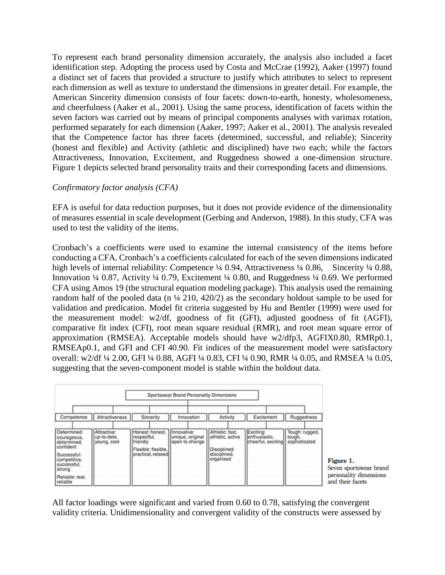To represent each brand personality dimension accurately, the analysis also included a facet identification step. Adopting the process used by Costa and McCrae (1992), Aaker (1997) found a distinct set of facets that provided a structure to justify which attributes to select to represent each dimension as well as texture to understand the dimensions in greater detail. For example, the American Sincerity dimension consists of four facets: down-to-earth, honesty, wholesomeness, and cheerfulness (Aaker et al., 2001). Using the same process, identification of facets within the seven factors was carried out by means of principal components analyses with varimax rotation, performed separately for each dimension (Aaker, 1997; Aaker et al., 2001). The analysis revealed that the Competence factor has three facets (determined, successful, and reliable); Sincerity (honest and flexible) and Activity (athletic and disciplined) have two each; while the factors Attractiveness, Innovation, Excitement, and Ruggedness showed a one-dimension structure. Figure 1 depicts selected brand personality traits and their corresponding facets and dimensions.

# *Confirmatory factor analysis (CFA)*

EFA is useful for data reduction purposes, but it does not provide evidence of the dimensionality of measures essential in scale development (Gerbing and Anderson, 1988). In this study, CFA was used to test the validity of the items.

Cronbach's a coefficients were used to examine the internal consistency of the items before conducting a CFA. Cronbach's a coefficients calculated for each of the seven dimensions indicated high levels of internal reliability: Competence  $\frac{1}{4}$  0.94, Attractiveness  $\frac{1}{4}$  0.86, Sincerity  $\frac{1}{4}$  0.88, Innovation  $\frac{1}{4}$  0.87, Activity  $\frac{1}{4}$  0.79, Excitement  $\frac{1}{4}$  0.80, and Ruggedness  $\frac{1}{4}$  0.69. We performed CFA using Amos 19 (the structural equation modeling package). This analysis used the remaining random half of the pooled data (n  $\frac{1}{4}$  210, 420/2) as the secondary holdout sample to be used for validation and predication. Model fit criteria suggested by Hu and Bentler (1999) were used for the measurement model: w2/df, goodness of fit (GFI), adjusted goodness of fit (AGFI), comparative fit index (CFI), root mean square residual (RMR), and root mean square error of approximation (RMSEA). Acceptable models should have w2/dfp3, AGFIX0.80, RMRp0.1, RMSEAp0.1, and GFI and CFI 40.90. Fit indices of the measurement model were satisfactory overall: w2/df ¼ 2.00, GFI ¼ 0.88, AGFI ¼ 0.83, CFI ¼ 0.90, RMR ¼ 0.05, and RMSEA ¼ 0.05, suggesting that the seven-component model is stable within the holdout data.



Figure 1. Seven sportswear brand personality dimensions and their facets

All factor loadings were significant and varied from 0.60 to 0.78, satisfying the convergent validity criteria. Unidimensionality and convergent validity of the constructs were assessed by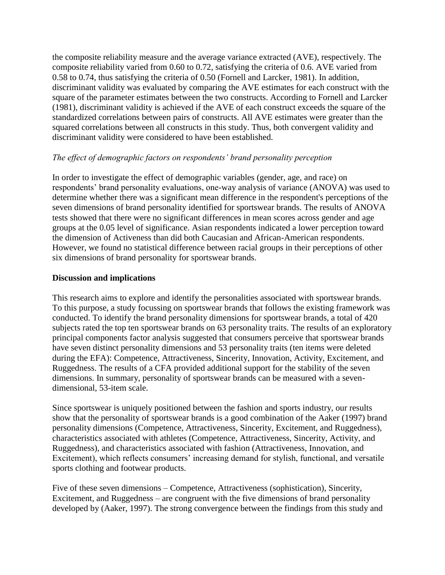the composite reliability measure and the average variance extracted (AVE), respectively. The composite reliability varied from 0.60 to 0.72, satisfying the criteria of 0.6. AVE varied from 0.58 to 0.74, thus satisfying the criteria of 0.50 (Fornell and Larcker, 1981). In addition, discriminant validity was evaluated by comparing the AVE estimates for each construct with the square of the parameter estimates between the two constructs. According to Fornell and Larcker (1981), discriminant validity is achieved if the AVE of each construct exceeds the square of the standardized correlations between pairs of constructs. All AVE estimates were greater than the squared correlations between all constructs in this study. Thus, both convergent validity and discriminant validity were considered to have been established.

# *The effect of demographic factors on respondents' brand personality perception*

In order to investigate the effect of demographic variables (gender, age, and race) on respondents' brand personality evaluations, one-way analysis of variance (ANOVA) was used to determine whether there was a significant mean difference in the respondent's perceptions of the seven dimensions of brand personality identified for sportswear brands. The results of ANOVA tests showed that there were no significant differences in mean scores across gender and age groups at the 0.05 level of significance. Asian respondents indicated a lower perception toward the dimension of Activeness than did both Caucasian and African-American respondents. However, we found no statistical difference between racial groups in their perceptions of other six dimensions of brand personality for sportswear brands.

### **Discussion and implications**

This research aims to explore and identify the personalities associated with sportswear brands. To this purpose, a study focussing on sportswear brands that follows the existing framework was conducted. To identify the brand personality dimensions for sportswear brands, a total of 420 subjects rated the top ten sportswear brands on 63 personality traits. The results of an exploratory principal components factor analysis suggested that consumers perceive that sportswear brands have seven distinct personality dimensions and 53 personality traits (ten items were deleted during the EFA): Competence, Attractiveness, Sincerity, Innovation, Activity, Excitement, and Ruggedness. The results of a CFA provided additional support for the stability of the seven dimensions. In summary, personality of sportswear brands can be measured with a sevendimensional, 53-item scale.

Since sportswear is uniquely positioned between the fashion and sports industry, our results show that the personality of sportswear brands is a good combination of the Aaker (1997) brand personality dimensions (Competence, Attractiveness, Sincerity, Excitement, and Ruggedness), characteristics associated with athletes (Competence, Attractiveness, Sincerity, Activity, and Ruggedness), and characteristics associated with fashion (Attractiveness, Innovation, and Excitement), which reflects consumers' increasing demand for stylish, functional, and versatile sports clothing and footwear products.

Five of these seven dimensions – Competence, Attractiveness (sophistication), Sincerity, Excitement, and Ruggedness – are congruent with the five dimensions of brand personality developed by (Aaker, 1997). The strong convergence between the findings from this study and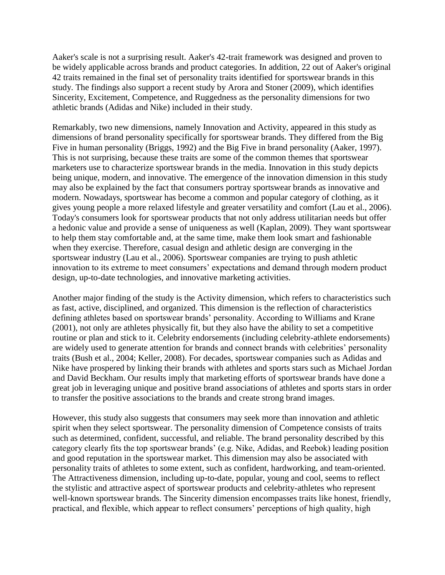Aaker's scale is not a surprising result. Aaker's 42-trait framework was designed and proven to be widely applicable across brands and product categories. In addition, 22 out of Aaker's original 42 traits remained in the final set of personality traits identified for sportswear brands in this study. The findings also support a recent study by Arora and Stoner (2009), which identifies Sincerity, Excitement, Competence, and Ruggedness as the personality dimensions for two athletic brands (Adidas and Nike) included in their study.

Remarkably, two new dimensions, namely Innovation and Activity, appeared in this study as dimensions of brand personality specifically for sportswear brands. They differed from the Big Five in human personality (Briggs, 1992) and the Big Five in brand personality (Aaker, 1997). This is not surprising, because these traits are some of the common themes that sportswear marketers use to characterize sportswear brands in the media. Innovation in this study depicts being unique, modern, and innovative. The emergence of the innovation dimension in this study may also be explained by the fact that consumers portray sportswear brands as innovative and modern. Nowadays, sportswear has become a common and popular category of clothing, as it gives young people a more relaxed lifestyle and greater versatility and comfort (Lau et al., 2006). Today's consumers look for sportswear products that not only address utilitarian needs but offer a hedonic value and provide a sense of uniqueness as well (Kaplan, 2009). They want sportswear to help them stay comfortable and, at the same time, make them look smart and fashionable when they exercise. Therefore, casual design and athletic design are converging in the sportswear industry (Lau et al., 2006). Sportswear companies are trying to push athletic innovation to its extreme to meet consumers' expectations and demand through modern product design, up-to-date technologies, and innovative marketing activities.

Another major finding of the study is the Activity dimension, which refers to characteristics such as fast, active, disciplined, and organized. This dimension is the reflection of characteristics defining athletes based on sportswear brands' personality. According to Williams and Krane (2001), not only are athletes physically fit, but they also have the ability to set a competitive routine or plan and stick to it. Celebrity endorsements (including celebrity-athlete endorsements) are widely used to generate attention for brands and connect brands with celebrities' personality traits (Bush et al., 2004; Keller, 2008). For decades, sportswear companies such as Adidas and Nike have prospered by linking their brands with athletes and sports stars such as Michael Jordan and David Beckham. Our results imply that marketing efforts of sportswear brands have done a great job in leveraging unique and positive brand associations of athletes and sports stars in order to transfer the positive associations to the brands and create strong brand images.

However, this study also suggests that consumers may seek more than innovation and athletic spirit when they select sportswear. The personality dimension of Competence consists of traits such as determined, confident, successful, and reliable. The brand personality described by this category clearly fits the top sportswear brands' (e.g. Nike, Adidas, and Reebok) leading position and good reputation in the sportswear market. This dimension may also be associated with personality traits of athletes to some extent, such as confident, hardworking, and team-oriented. The Attractiveness dimension, including up-to-date, popular, young and cool, seems to reflect the stylistic and attractive aspect of sportswear products and celebrity-athletes who represent well-known sportswear brands. The Sincerity dimension encompasses traits like honest, friendly, practical, and flexible, which appear to reflect consumers' perceptions of high quality, high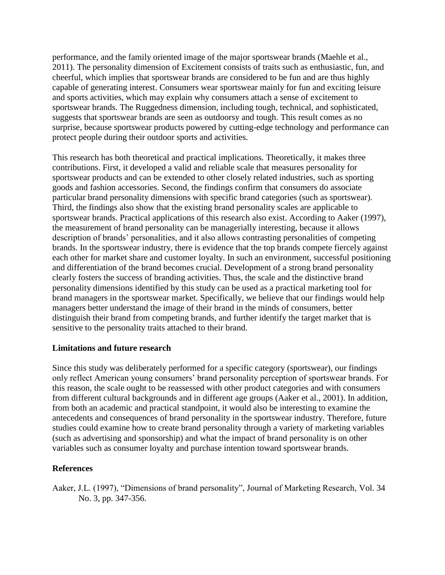performance, and the family oriented image of the major sportswear brands (Maehle et al., 2011). The personality dimension of Excitement consists of traits such as enthusiastic, fun, and cheerful, which implies that sportswear brands are considered to be fun and are thus highly capable of generating interest. Consumers wear sportswear mainly for fun and exciting leisure and sports activities, which may explain why consumers attach a sense of excitement to sportswear brands. The Ruggedness dimension, including tough, technical, and sophisticated, suggests that sportswear brands are seen as outdoorsy and tough. This result comes as no surprise, because sportswear products powered by cutting-edge technology and performance can protect people during their outdoor sports and activities.

This research has both theoretical and practical implications. Theoretically, it makes three contributions. First, it developed a valid and reliable scale that measures personality for sportswear products and can be extended to other closely related industries, such as sporting goods and fashion accessories. Second, the findings confirm that consumers do associate particular brand personality dimensions with specific brand categories (such as sportswear). Third, the findings also show that the existing brand personality scales are applicable to sportswear brands. Practical applications of this research also exist. According to Aaker (1997), the measurement of brand personality can be managerially interesting, because it allows description of brands' personalities, and it also allows contrasting personalities of competing brands. In the sportswear industry, there is evidence that the top brands compete fiercely against each other for market share and customer loyalty. In such an environment, successful positioning and differentiation of the brand becomes crucial. Development of a strong brand personality clearly fosters the success of branding activities. Thus, the scale and the distinctive brand personality dimensions identified by this study can be used as a practical marketing tool for brand managers in the sportswear market. Specifically, we believe that our findings would help managers better understand the image of their brand in the minds of consumers, better distinguish their brand from competing brands, and further identify the target market that is sensitive to the personality traits attached to their brand.

### **Limitations and future research**

Since this study was deliberately performed for a specific category (sportswear), our findings only reflect American young consumers' brand personality perception of sportswear brands. For this reason, the scale ought to be reassessed with other product categories and with consumers from different cultural backgrounds and in different age groups (Aaker et al., 2001). In addition, from both an academic and practical standpoint, it would also be interesting to examine the antecedents and consequences of brand personality in the sportswear industry. Therefore, future studies could examine how to create brand personality through a variety of marketing variables (such as advertising and sponsorship) and what the impact of brand personality is on other variables such as consumer loyalty and purchase intention toward sportswear brands.

# **References**

Aaker, J.L. (1997), "Dimensions of brand personality", Journal of Marketing Research, Vol. 34 No. 3, pp. 347-356.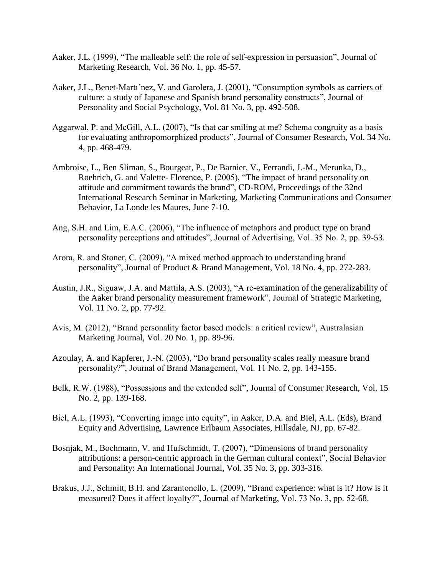- Aaker, J.L. (1999), "The malleable self: the role of self-expression in persuasion", Journal of Marketing Research, Vol. 36 No. 1, pp. 45-57.
- Aaker, J.L., Benet-Martı´nez, V. and Garolera, J. (2001), "Consumption symbols as carriers of culture: a study of Japanese and Spanish brand personality constructs", Journal of Personality and Social Psychology, Vol. 81 No. 3, pp. 492-508.
- Aggarwal, P. and McGill, A.L. (2007), "Is that car smiling at me? Schema congruity as a basis for evaluating anthropomorphized products", Journal of Consumer Research, Vol. 34 No. 4, pp. 468-479.
- Ambroise, L., Ben Sliman, S., Bourgeat, P., De Barnier, V., Ferrandi, J.-M., Merunka, D., Roehrich, G. and Valette- Florence, P. (2005), "The impact of brand personality on attitude and commitment towards the brand", CD-ROM, Proceedings of the 32nd International Research Seminar in Marketing, Marketing Communications and Consumer Behavior, La Londe les Maures, June 7-10.
- Ang, S.H. and Lim, E.A.C. (2006), "The influence of metaphors and product type on brand personality perceptions and attitudes", Journal of Advertising, Vol. 35 No. 2, pp. 39-53.
- Arora, R. and Stoner, C. (2009), "A mixed method approach to understanding brand personality", Journal of Product & Brand Management, Vol. 18 No. 4, pp. 272-283.
- Austin, J.R., Siguaw, J.A. and Mattila, A.S. (2003), "A re-examination of the generalizability of the Aaker brand personality measurement framework", Journal of Strategic Marketing, Vol. 11 No. 2, pp. 77-92.
- Avis, M. (2012), "Brand personality factor based models: a critical review", Australasian Marketing Journal, Vol. 20 No. 1, pp. 89-96.
- Azoulay, A. and Kapferer, J.-N. (2003), "Do brand personality scales really measure brand personality?", Journal of Brand Management, Vol. 11 No. 2, pp. 143-155.
- Belk, R.W. (1988), "Possessions and the extended self", Journal of Consumer Research, Vol. 15 No. 2, pp. 139-168.
- Biel, A.L. (1993), "Converting image into equity", in Aaker, D.A. and Biel, A.L. (Eds), Brand Equity and Advertising, Lawrence Erlbaum Associates, Hillsdale, NJ, pp. 67-82.
- Bosnjak, M., Bochmann, V. and Hufschmidt, T. (2007), "Dimensions of brand personality attributions: a person-centric approach in the German cultural context", Social Behavior and Personality: An International Journal, Vol. 35 No. 3, pp. 303-316.
- Brakus, J.J., Schmitt, B.H. and Zarantonello, L. (2009), "Brand experience: what is it? How is it measured? Does it affect loyalty?", Journal of Marketing, Vol. 73 No. 3, pp. 52-68.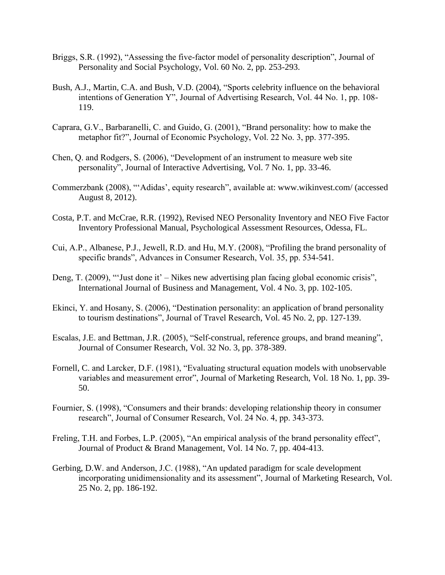- Briggs, S.R. (1992), "Assessing the five-factor model of personality description", Journal of Personality and Social Psychology, Vol. 60 No. 2, pp. 253-293.
- Bush, A.J., Martin, C.A. and Bush, V.D. (2004), "Sports celebrity influence on the behavioral intentions of Generation Y", Journal of Advertising Research, Vol. 44 No. 1, pp. 108- 119.
- Caprara, G.V., Barbaranelli, C. and Guido, G. (2001), "Brand personality: how to make the metaphor fit?", Journal of Economic Psychology, Vol. 22 No. 3, pp. 377-395.
- Chen, Q. and Rodgers, S. (2006), "Development of an instrument to measure web site personality", Journal of Interactive Advertising, Vol. 7 No. 1, pp. 33-46.
- Commerzbank (2008), "'Adidas', equity research", available at: www.wikinvest.com/ (accessed August 8, 2012).
- Costa, P.T. and McCrae, R.R. (1992), Revised NEO Personality Inventory and NEO Five Factor Inventory Professional Manual, Psychological Assessment Resources, Odessa, FL.
- Cui, A.P., Albanese, P.J., Jewell, R.D. and Hu, M.Y. (2008), "Profiling the brand personality of specific brands", Advances in Consumer Research, Vol. 35, pp. 534-541.
- Deng, T. (2009), "'Just done it' Nikes new advertising plan facing global economic crisis", International Journal of Business and Management, Vol. 4 No. 3, pp. 102-105.
- Ekinci, Y. and Hosany, S. (2006), "Destination personality: an application of brand personality to tourism destinations", Journal of Travel Research, Vol. 45 No. 2, pp. 127-139.
- Escalas, J.E. and Bettman, J.R. (2005), "Self-construal, reference groups, and brand meaning", Journal of Consumer Research, Vol. 32 No. 3, pp. 378-389.
- Fornell, C. and Larcker, D.F. (1981), "Evaluating structural equation models with unobservable variables and measurement error", Journal of Marketing Research, Vol. 18 No. 1, pp. 39- 50.
- Fournier, S. (1998), "Consumers and their brands: developing relationship theory in consumer research", Journal of Consumer Research, Vol. 24 No. 4, pp. 343-373.
- Freling, T.H. and Forbes, L.P. (2005), "An empirical analysis of the brand personality effect", Journal of Product & Brand Management, Vol. 14 No. 7, pp. 404-413.
- Gerbing, D.W. and Anderson, J.C. (1988), "An updated paradigm for scale development incorporating unidimensionality and its assessment", Journal of Marketing Research, Vol. 25 No. 2, pp. 186-192.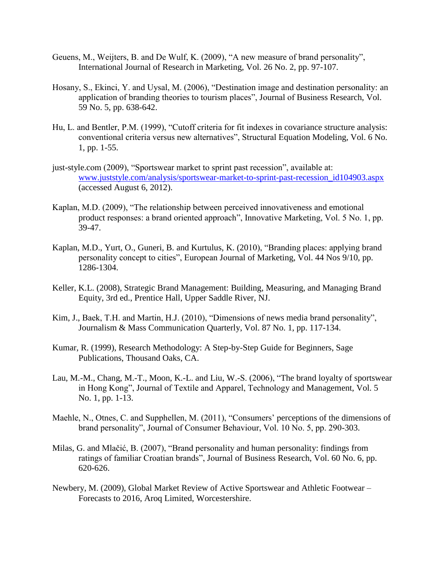- Geuens, M., Weijters, B. and De Wulf, K. (2009), "A new measure of brand personality", International Journal of Research in Marketing, Vol. 26 No. 2, pp. 97-107.
- Hosany, S., Ekinci, Y. and Uysal, M. (2006), "Destination image and destination personality: an application of branding theories to tourism places", Journal of Business Research, Vol. 59 No. 5, pp. 638-642.
- Hu, L. and Bentler, P.M. (1999), "Cutoff criteria for fit indexes in covariance structure analysis: conventional criteria versus new alternatives", Structural Equation Modeling, Vol. 6 No. 1, pp. 1-55.
- just-style.com (2009), "Sportswear market to sprint past recession", available at: [www.juststyle.com/analysis/sportswear-market-to-sprint-past-recession\\_id104903.aspx](http://www.juststyle.com/analysis/sportswear-market-to-sprint-past-recession_id104903.aspx) (accessed August 6, 2012).
- Kaplan, M.D. (2009), "The relationship between perceived innovativeness and emotional product responses: a brand oriented approach", Innovative Marketing, Vol. 5 No. 1, pp. 39-47.
- Kaplan, M.D., Yurt, O., Guneri, B. and Kurtulus, K. (2010), "Branding places: applying brand personality concept to cities", European Journal of Marketing, Vol. 44 Nos 9/10, pp. 1286-1304.
- Keller, K.L. (2008), Strategic Brand Management: Building, Measuring, and Managing Brand Equity, 3rd ed., Prentice Hall, Upper Saddle River, NJ.
- Kim, J., Baek, T.H. and Martin, H.J. (2010), "Dimensions of news media brand personality", Journalism & Mass Communication Quarterly, Vol. 87 No. 1, pp. 117-134.
- Kumar, R. (1999), Research Methodology: A Step-by-Step Guide for Beginners, Sage Publications, Thousand Oaks, CA.
- Lau, M.-M., Chang, M.-T., Moon, K.-L. and Liu, W.-S. (2006), "The brand loyalty of sportswear in Hong Kong", Journal of Textile and Apparel, Technology and Management, Vol. 5 No. 1, pp. 1-13.
- Maehle, N., Otnes, C. and Supphellen, M. (2011), "Consumers' perceptions of the dimensions of brand personality", Journal of Consumer Behaviour, Vol. 10 No. 5, pp. 290-303.
- Milas, G. and Mlačić, B. (2007), "Brand personality and human personality: findings from ratings of familiar Croatian brands", Journal of Business Research, Vol. 60 No. 6, pp. 620-626.
- Newbery, M. (2009), Global Market Review of Active Sportswear and Athletic Footwear Forecasts to 2016, Aroq Limited, Worcestershire.